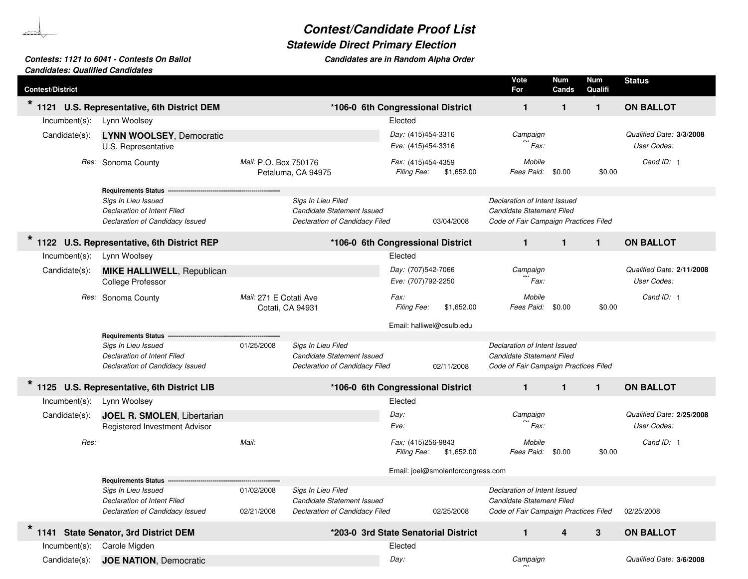## *Contest/Candidate Proof List*

**Candidates are in Random Alpha Order** 

## *Statewide Direct Primary Election*

## *Contests: 1121 to 6041 - Contests On Ballot Candidates are in RandomCandidates: Qualified Candidates*

b Sanda

| <b>Contest/District</b> |                                                                                              |                                            |                                                                                    |                                          |                                   | Vote<br>For                                                                                        | Num<br>Cands | Num<br>Qualifi | <b>Status</b>                            |
|-------------------------|----------------------------------------------------------------------------------------------|--------------------------------------------|------------------------------------------------------------------------------------|------------------------------------------|-----------------------------------|----------------------------------------------------------------------------------------------------|--------------|----------------|------------------------------------------|
| 1121                    | U.S. Representative, 6th District DEM                                                        |                                            | *106-0 6th Congressional District                                                  |                                          |                                   | $\mathbf{1}$                                                                                       | 1            | $\mathbf{1}$   | <b>ON BALLOT</b>                         |
| $Incumbent(s)$ :        | Lynn Woolsey                                                                                 |                                            |                                                                                    | Elected                                  |                                   |                                                                                                    |              |                |                                          |
| Candidate(s):           | <b>LYNN WOOLSEY, Democratic</b><br>U.S. Representative                                       |                                            |                                                                                    | Day: (415)454-3316<br>Eve: (415)454-3316 |                                   | Campaign<br>Fax:                                                                                   |              |                | Qualified Date: 3/3/2008<br>User Codes:  |
|                         | Res: Sonoma County                                                                           | Mail: P.O. Box 750176                      | Petaluma, CA 94975                                                                 | Fax: (415)454-4359<br>Filing Fee:        | \$1,652.00                        | Mobile<br>Fees Paid:                                                                               | \$0.00       | \$0.00         | Cand ID: 1                               |
|                         | Requirements Status -------------                                                            |                                            |                                                                                    |                                          |                                   |                                                                                                    |              |                |                                          |
|                         | Sigs In Lieu Issued<br><b>Declaration of Intent Filed</b><br>Declaration of Candidacy Issued |                                            | Sigs In Lieu Filed<br>Candidate Statement Issued<br>Declaration of Candidacy Filed |                                          | 03/04/2008                        | Declaration of Intent Issued<br>Candidate Statement Filed<br>Code of Fair Campaign Practices Filed |              |                |                                          |
| $\star$                 | 1122 U.S. Representative, 6th District REP                                                   |                                            | *106-0 6th Congressional District                                                  |                                          |                                   | $\mathbf{1}$                                                                                       | $\mathbf{1}$ | $\mathbf{1}$   | <b>ON BALLOT</b>                         |
| $Incumbent(s)$ :        | Lynn Woolsey                                                                                 |                                            |                                                                                    | Elected                                  |                                   |                                                                                                    |              |                |                                          |
| Candidate(s):           | <b>MIKE HALLIWELL, Republican</b>                                                            |                                            |                                                                                    | Day: (707)542-7066                       |                                   | Campaign                                                                                           |              |                | Qualified Date: 2/11/2008                |
|                         | <b>College Professor</b>                                                                     |                                            |                                                                                    | Eve: (707)792-2250                       |                                   | Fax:                                                                                               |              |                | User Codes:                              |
|                         | Res: Sonoma County                                                                           | Mail: 271 E Cotati Ave<br>Cotati, CA 94931 |                                                                                    | Fax:<br>Filing Fee:                      | \$1,652.00                        | Mobile<br>Fees Paid:                                                                               | \$0.00       | \$0.00         | Cand ID: 1                               |
|                         |                                                                                              |                                            |                                                                                    | Email: halliwel@csulb.edu                |                                   |                                                                                                    |              |                |                                          |
|                         | <b>Requirements Status</b>                                                                   |                                            |                                                                                    |                                          |                                   |                                                                                                    |              |                |                                          |
|                         | Sigs In Lieu Issued<br><b>Declaration of Intent Filed</b><br>Declaration of Candidacy Issued | 01/25/2008                                 | Sigs In Lieu Filed<br>Candidate Statement Issued<br>Declaration of Candidacy Filed |                                          | 02/11/2008                        | Declaration of Intent Issued<br>Candidate Statement Filed<br>Code of Fair Campaign Practices Filed |              |                |                                          |
|                         | 1125 U.S. Representative, 6th District LIB                                                   |                                            | *106-0 6th Congressional District                                                  |                                          |                                   | $\mathbf{1}$                                                                                       | $\mathbf{1}$ | $\mathbf{1}$   | <b>ON BALLOT</b>                         |
| $Incumbent(s)$ :        | Lynn Woolsey                                                                                 |                                            |                                                                                    | Elected                                  |                                   |                                                                                                    |              |                |                                          |
| Candidate(s):           | JOEL R. SMOLEN, Libertarian<br>Registered Investment Advisor                                 |                                            |                                                                                    | Day:<br>Eve:                             |                                   | Campaign<br>Fax:                                                                                   |              |                | Qualified Date: 2/25/2008<br>User Codes: |
| Res:                    |                                                                                              | Mail:                                      |                                                                                    | Fax: (415)256-9843<br><b>Filing Fee:</b> | \$1,652.00                        | Mobile<br>Fees Paid: \$0.00                                                                        |              | \$0.00         | Cand ID: 1                               |
|                         |                                                                                              |                                            |                                                                                    |                                          | Email: joel@smolenforcongress.com |                                                                                                    |              |                |                                          |
|                         | <b>Requirements Status</b>                                                                   |                                            |                                                                                    |                                          |                                   |                                                                                                    |              |                |                                          |
|                         | Sigs In Lieu Issued                                                                          | 01/02/2008                                 | Sigs In Lieu Filed                                                                 |                                          |                                   | Declaration of Intent Issued                                                                       |              |                |                                          |
|                         | Declaration of Intent Filed<br>Declaration of Candidacy Issued                               | 02/21/2008                                 | Candidate Statement Issued<br>Declaration of Candidacy Filed                       |                                          | 02/25/2008                        | Candidate Statement Filed<br>Code of Fair Campaign Practices Filed                                 |              |                | 02/25/2008                               |
|                         | 1141 State Senator, 3rd District DEM                                                         |                                            | *203-0 3rd State Senatorial District                                               |                                          |                                   | $\mathbf{1}$                                                                                       | 4            | 3              | <b>ON BALLOT</b>                         |
| $Incumbent(s)$ :        | Carole Migden                                                                                |                                            |                                                                                    | Elected                                  |                                   |                                                                                                    |              |                |                                          |
| Candidate(s):           | <b>JOE NATION, Democratic</b>                                                                |                                            |                                                                                    | Day:                                     |                                   | Campaign                                                                                           |              |                | Qualified Date: 3/6/2008                 |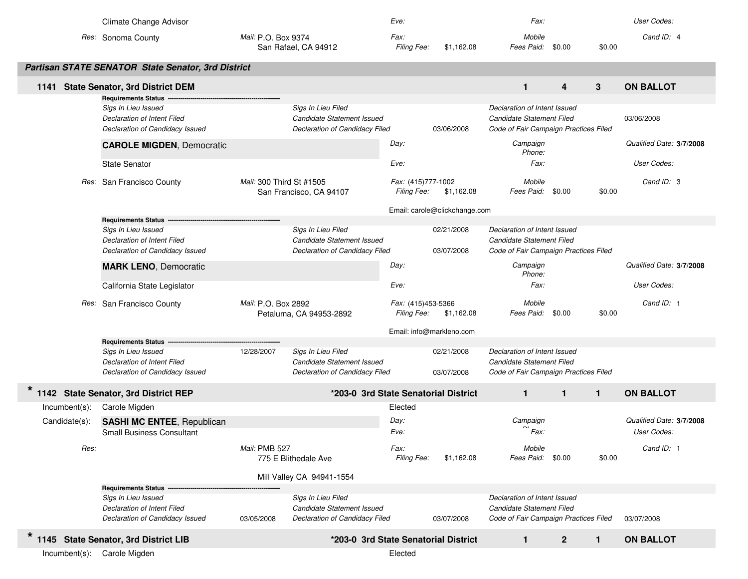|                  | Climate Change Advisor                                                                                              |                                                                                    | Eve:                                     |                               | Fax:                                                                                               |              |              | User Codes:                             |
|------------------|---------------------------------------------------------------------------------------------------------------------|------------------------------------------------------------------------------------|------------------------------------------|-------------------------------|----------------------------------------------------------------------------------------------------|--------------|--------------|-----------------------------------------|
|                  | Res: Sonoma County                                                                                                  | Mail: P.O. Box 9374<br>San Rafael, CA 94912                                        | Fax:<br>Filing Fee:                      | \$1,162.08                    | Mobile<br>Fees Paid:                                                                               | \$0.00       | \$0.00       | Cand ID: 4                              |
|                  | Partisan STATE SENATOR State Senator, 3rd District                                                                  |                                                                                    |                                          |                               |                                                                                                    |              |              |                                         |
| 1141             | <b>State Senator, 3rd District DEM</b><br><b>Requirements Status -</b>                                              |                                                                                    |                                          |                               | $\mathbf{1}$                                                                                       | 4            | 3            | <b>ON BALLOT</b>                        |
|                  | Sigs In Lieu Issued<br>Declaration of Intent Filed<br>Declaration of Candidacy Issued                               | Sigs In Lieu Filed<br>Candidate Statement Issued<br>Declaration of Candidacy Filed |                                          | 03/06/2008                    | Declaration of Intent Issued<br>Candidate Statement Filed<br>Code of Fair Campaign Practices Filed |              |              | 03/06/2008                              |
|                  | <b>CAROLE MIGDEN, Democratic</b>                                                                                    |                                                                                    | Day:                                     |                               | Campaign<br>Phone:                                                                                 |              |              | Qualified Date: 3/7/2008                |
|                  | <b>State Senator</b>                                                                                                |                                                                                    | Eve:                                     |                               | Fax:                                                                                               |              |              | User Codes:                             |
| Res:             | San Francisco County                                                                                                | Mail: 300 Third St #1505<br>San Francisco, CA 94107                                | Fax: (415)777-1002<br><b>Filing Fee:</b> | \$1,162.08                    | Mobile<br>Fees Paid: \$0.00                                                                        |              | \$0.00       | Cand ID: 3                              |
|                  |                                                                                                                     |                                                                                    |                                          | Email: carole@clickchange.com |                                                                                                    |              |              |                                         |
|                  | <b>Requirements Status</b><br>Sigs In Lieu Issued<br>Declaration of Intent Filed<br>Declaration of Candidacy Issued | Sigs In Lieu Filed<br>Candidate Statement Issued<br>Declaration of Candidacy Filed |                                          | 02/21/2008<br>03/07/2008      | Declaration of Intent Issued<br>Candidate Statement Filed<br>Code of Fair Campaign Practices Filed |              |              |                                         |
|                  | <b>MARK LENO, Democratic</b>                                                                                        |                                                                                    | Day:                                     |                               | Campaign<br>Phone:                                                                                 |              |              | Qualified Date: 3/7/2008                |
|                  | California State Legislator                                                                                         |                                                                                    | Eve:                                     |                               | Fax:                                                                                               |              |              | User Codes:                             |
|                  | Res: San Francisco County                                                                                           | Mail: P.O. Box 2892<br>Petaluma, CA 94953-2892                                     | Fax: (415)453-5366<br>Filing Fee:        | \$1,162.08                    | Mobile<br>Fees Paid: \$0.00                                                                        |              | \$0.00       | Cand ID: 1                              |
|                  |                                                                                                                     |                                                                                    | Email: info@markleno.com                 |                               |                                                                                                    |              |              |                                         |
|                  | <b>Requirements Status</b>                                                                                          |                                                                                    |                                          |                               |                                                                                                    |              |              |                                         |
|                  | Sigs In Lieu Issued<br>Declaration of Intent Filed                                                                  | 12/28/2007<br>Sigs In Lieu Filed<br>Candidate Statement Issued                     |                                          | 02/21/2008                    | Declaration of Intent Issued<br>Candidate Statement Filed                                          |              |              |                                         |
|                  | Declaration of Candidacy Issued                                                                                     | Declaration of Candidacy Filed                                                     |                                          | 03/07/2008                    | Code of Fair Campaign Practices Filed                                                              |              |              |                                         |
|                  | 1142 State Senator, 3rd District REP                                                                                |                                                                                    | *203-0 3rd State Senatorial District     |                               | $\mathbf{1}$                                                                                       | $\mathbf{1}$ | $\mathbf{1}$ | <b>ON BALLOT</b>                        |
| $Incumbent(s)$ : | Carole Migden                                                                                                       |                                                                                    | Elected                                  |                               |                                                                                                    |              |              |                                         |
| Candidate(s):    | <b>SASHI MC ENTEE, Republican</b><br><b>Small Business Consultant</b>                                               |                                                                                    | Day:<br>Eve:                             |                               | Campaign<br>Fax:                                                                                   |              |              | Qualified Date: 3/7/2008<br>User Codes: |
| Res:             |                                                                                                                     | Mail: PMB 527<br>775 E Blithedale Ave                                              | Fax:<br>Filing Fee:                      | \$1,162.08                    | Mobile<br>Fees Paid: \$0.00                                                                        |              | \$0.00       | Cand ID: 1                              |
|                  |                                                                                                                     | Mill Valley CA 94941-1554                                                          |                                          |                               |                                                                                                    |              |              |                                         |
|                  | <b>Requirements Status</b>                                                                                          |                                                                                    |                                          |                               |                                                                                                    |              |              |                                         |
|                  | Sigs In Lieu Issued                                                                                                 | Sigs In Lieu Filed                                                                 |                                          |                               | Declaration of Intent Issued                                                                       |              |              |                                         |
|                  | Declaration of Intent Filed<br>Declaration of Candidacy Issued                                                      | Candidate Statement Issued<br>Declaration of Candidacy Filed<br>03/05/2008         |                                          | 03/07/2008                    | Candidate Statement Filed<br>Code of Fair Campaign Practices Filed                                 |              |              | 03/07/2008                              |
|                  | 1145 State Senator, 3rd District LIB                                                                                |                                                                                    | *203-0 3rd State Senatorial District     |                               | $\mathbf{1}$                                                                                       | $\mathbf{2}$ | $\mathbf{1}$ | <b>ON BALLOT</b>                        |
| $Incumbent(s)$ : | Carole Migden                                                                                                       |                                                                                    | Elected                                  |                               |                                                                                                    |              |              |                                         |
|                  |                                                                                                                     |                                                                                    |                                          |                               |                                                                                                    |              |              |                                         |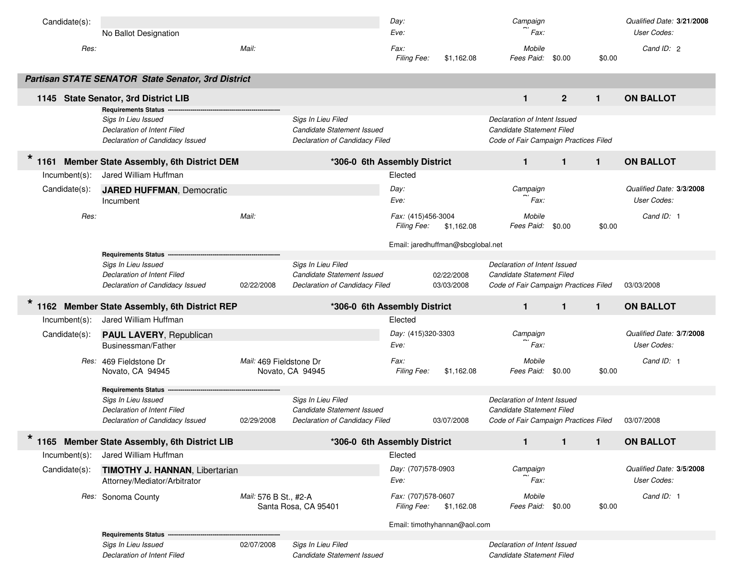| Candidate(s):    | No Ballot Designation                                                                                               |                         |                                                                                    | Day:<br>Eve:                             |                                   | Campaign<br>Fax:                                                                                   |                |              | Qualified Date: 3/21/2008<br>User Codes: |
|------------------|---------------------------------------------------------------------------------------------------------------------|-------------------------|------------------------------------------------------------------------------------|------------------------------------------|-----------------------------------|----------------------------------------------------------------------------------------------------|----------------|--------------|------------------------------------------|
| Res:             |                                                                                                                     | Mail:                   |                                                                                    | Fax:<br>Filing Fee:                      | \$1,162.08                        | Mobile<br>Fees Paid:                                                                               | \$0.00         | \$0.00       | Cand ID: 2                               |
|                  | <b>Partisan STATE SENATOR State Senator, 3rd District</b>                                                           |                         |                                                                                    |                                          |                                   |                                                                                                    |                |              |                                          |
|                  | 1145 State Senator, 3rd District LIB                                                                                |                         |                                                                                    |                                          |                                   | $\mathbf{1}$                                                                                       | $\overline{2}$ | $\mathbf{1}$ | <b>ON BALLOT</b>                         |
|                  | <b>Requirements Status</b><br>Sigs In Lieu Issued<br>Declaration of Intent Filed<br>Declaration of Candidacy Issued |                         | Sigs In Lieu Filed<br>Candidate Statement Issued<br>Declaration of Candidacy Filed |                                          |                                   | Declaration of Intent Issued<br>Candidate Statement Filed<br>Code of Fair Campaign Practices Filed |                |              |                                          |
| 1161             | Member State Assembly, 6th District DEM                                                                             |                         | *306-0 6th Assembly District                                                       |                                          |                                   | $\mathbf{1}$                                                                                       | $\mathbf{1}$   | $\mathbf{1}$ | <b>ON BALLOT</b>                         |
| $Incumbent(s)$ : | Jared William Huffman                                                                                               |                         |                                                                                    | Elected                                  |                                   |                                                                                                    |                |              |                                          |
| Candidate(s):    | <b>JARED HUFFMAN, Democratic</b><br>Incumbent                                                                       |                         |                                                                                    | Day:<br>Eve:                             |                                   | Campaign<br>Fax:                                                                                   |                |              | Qualified Date: 3/3/2008<br>User Codes:  |
| Res:             |                                                                                                                     | Mail:                   |                                                                                    | Fax: (415)456-3004<br><b>Filing Fee:</b> | \$1,162.08                        | Mobile<br>Fees Paid: \$0.00                                                                        |                | \$0.00       | Cand ID: 1                               |
|                  |                                                                                                                     |                         |                                                                                    |                                          | Email: jaredhuffman@sbcglobal.net |                                                                                                    |                |              |                                          |
|                  | <b>Requirements Status</b><br>Sigs In Lieu Issued<br>Declaration of Intent Filed<br>Declaration of Candidacy Issued | 02/22/2008              | Sigs In Lieu Filed<br>Candidate Statement Issued<br>Declaration of Candidacy Filed |                                          | 02/22/2008<br>03/03/2008          | Declaration of Intent Issued<br>Candidate Statement Filed<br>Code of Fair Campaign Practices Filed |                |              | 03/03/2008                               |
|                  | 1162 Member State Assembly, 6th District REP                                                                        |                         | *306-0 6th Assembly District                                                       |                                          |                                   | $\mathbf{1}$                                                                                       | $\mathbf{1}$   | $\mathbf{1}$ | <b>ON BALLOT</b>                         |
| $Incumbent(s)$ : | Jared William Huffman                                                                                               |                         |                                                                                    | Elected                                  |                                   |                                                                                                    |                |              |                                          |
| Candidate(s):    | <b>PAUL LAVERY, Republican</b><br>Businessman/Father                                                                |                         |                                                                                    | Day: (415)320-3303<br>Eve:               |                                   | Campaign<br>Fax:                                                                                   |                |              | Qualified Date: 3/7/2008<br>User Codes:  |
|                  |                                                                                                                     |                         |                                                                                    |                                          |                                   |                                                                                                    |                |              |                                          |
|                  | Res: 469 Fieldstone Dr<br>Novato, CA 94945                                                                          | Mail: 469 Fieldstone Dr | Novato, CA 94945                                                                   | Fax:<br>Filing Fee:                      | \$1,162.08                        | Mobile<br>Fees Paid: \$0.00                                                                        |                | \$0.00       | Cand ID: 1                               |
|                  | <b>Requirements Status</b>                                                                                          |                         |                                                                                    |                                          |                                   |                                                                                                    |                |              |                                          |
|                  | Sigs In Lieu Issued<br>Declaration of Intent Filed<br>Declaration of Candidacy Issued                               | 02/29/2008              | Sigs In Lieu Filed<br>Candidate Statement Issued<br>Declaration of Candidacy Filed |                                          | 03/07/2008                        | Declaration of Intent Issued<br>Candidate Statement Filed<br>Code of Fair Campaign Practices Filed |                |              | 03/07/2008                               |
| $\star$          | 1165 Member State Assembly, 6th District LIB                                                                        |                         | *306-0 6th Assembly District                                                       |                                          |                                   | $\mathbf{1}$                                                                                       | 1              | $\mathbf{1}$ | <b>ON BALLOT</b>                         |
| $Incumbent(s)$ : | Jared William Huffman                                                                                               |                         |                                                                                    | Elected                                  |                                   |                                                                                                    |                |              |                                          |
| Candidate(s):    | <b>TIMOTHY J. HANNAN, Libertarian</b><br>Attorney/Mediator/Arbitrator                                               |                         |                                                                                    | Day: (707)578-0903<br>Eve:               |                                   | Campaign<br>Fax:                                                                                   |                |              | Qualified Date: 3/5/2008<br>User Codes:  |
|                  | Res: Sonoma County                                                                                                  | Mail: 576 B St., #2-A   | Santa Rosa, CA 95401                                                               | Fax: (707)578-0607<br><b>Filing Fee:</b> | \$1,162.08                        | Mobile<br>Fees Paid: \$0.00                                                                        |                | \$0.00       | Cand ID: 1                               |
|                  |                                                                                                                     |                         |                                                                                    |                                          | Email: timothyhannan@aol.com      |                                                                                                    |                |              |                                          |
|                  | <b>Requirements Status -</b><br>Sigs In Lieu Issued                                                                 | 02/07/2008              | Sigs In Lieu Filed                                                                 |                                          |                                   | Declaration of Intent Issued                                                                       |                |              |                                          |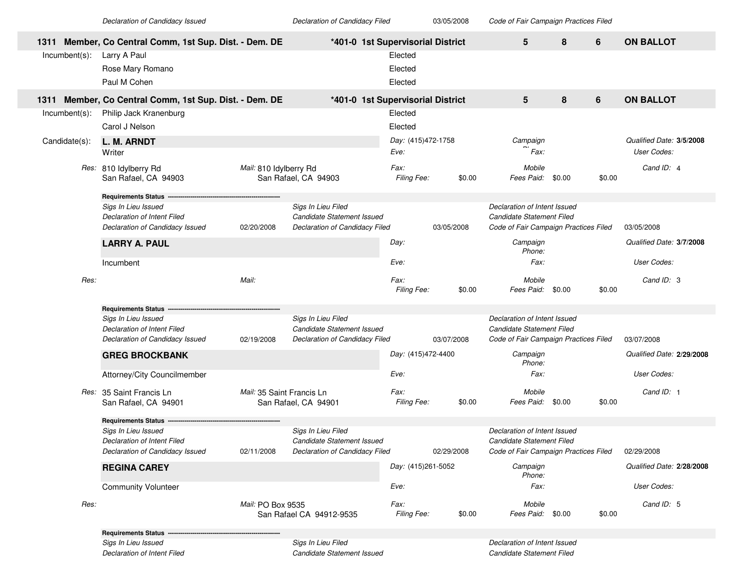03/05/2008 *of Candidacy Issued Declaration of Candidacy Filed Code of Fair Campaign Practices Filed*

|      |                  | 1311 Member, Co Central Comm, 1st Sup. Dist. - Dem. DE |                           | *401-0 1st Supervisorial District |                    |            | 5                                     | 8      | 6      | <b>ON BALLOT</b>          |
|------|------------------|--------------------------------------------------------|---------------------------|-----------------------------------|--------------------|------------|---------------------------------------|--------|--------|---------------------------|
|      | Incumbent(s):    | Larry A Paul                                           |                           |                                   | Elected            |            |                                       |        |        |                           |
|      |                  | Rose Mary Romano                                       |                           |                                   | Elected            |            |                                       |        |        |                           |
|      |                  | Paul M Cohen                                           |                           |                                   | Elected            |            |                                       |        |        |                           |
| 1311 |                  | Member, Co Central Comm, 1st Sup. Dist. - Dem. DE      |                           | *401-0 1st Supervisorial District |                    |            | 5                                     | 8      | 6      | <b>ON BALLOT</b>          |
|      | $Incumbent(s)$ : | Philip Jack Kranenburg                                 |                           |                                   | Elected            |            |                                       |        |        |                           |
|      |                  | Carol J Nelson                                         |                           |                                   | Elected            |            |                                       |        |        |                           |
|      | Candidate(s):    | L. M. ARNDT                                            |                           |                                   | Day: (415)472-1758 |            | Campaign                              |        |        | Qualified Date: 3/5/2008  |
|      |                  | Writer                                                 |                           |                                   | Eve:               |            | Fax:                                  |        |        | User Codes:               |
|      |                  | Res: 810 Idylberry Rd                                  | Mail: 810 Idylberry Rd    |                                   | Fax:               |            | Mobile                                |        |        | Cand ID: 4                |
|      |                  | San Rafael, CA 94903                                   |                           | San Rafael, CA 94903              | Filing Fee:        | \$0.00     | Fees Paid: \$0.00                     |        | \$0.00 |                           |
|      |                  | <b>Requirements Status</b>                             |                           |                                   |                    |            |                                       |        |        |                           |
|      |                  | Sigs In Lieu Issued                                    |                           | Sigs In Lieu Filed                |                    |            | Declaration of Intent Issued          |        |        |                           |
|      |                  | Declaration of Intent Filed                            |                           | Candidate Statement Issued        |                    |            | Candidate Statement Filed             |        |        |                           |
|      |                  | Declaration of Candidacy Issued                        | 02/20/2008                | Declaration of Candidacy Filed    |                    | 03/05/2008 | Code of Fair Campaign Practices Filed |        |        | 03/05/2008                |
|      |                  | <b>LARRY A. PAUL</b>                                   |                           |                                   | Day:               |            | Campaign<br>Phone:                    |        |        | Qualified Date: 3/7/2008  |
|      |                  | Incumbent                                              |                           |                                   | Eve:               |            | Fax:                                  |        |        | User Codes:               |
|      | Res:             |                                                        | Mail:                     |                                   | Fax:               |            | Mobile                                |        |        | Cand ID: 3                |
|      |                  |                                                        |                           |                                   | Filing Fee:        | \$0.00     | Fees Paid: \$0.00                     |        | \$0.00 |                           |
|      |                  | <b>Requirements Status</b>                             |                           |                                   |                    |            |                                       |        |        |                           |
|      |                  | Sigs In Lieu Issued                                    |                           | Sigs In Lieu Filed                |                    |            | Declaration of Intent Issued          |        |        |                           |
|      |                  | Declaration of Intent Filed                            |                           | Candidate Statement Issued        |                    |            | Candidate Statement Filed             |        |        |                           |
|      |                  | Declaration of Candidacy Issued                        | 02/19/2008                | Declaration of Candidacy Filed    |                    | 03/07/2008 | Code of Fair Campaign Practices Filed |        |        | 03/07/2008                |
|      |                  | <b>GREG BROCKBANK</b>                                  |                           |                                   | Day: (415)472-4400 |            | Campaign<br>Phone:                    |        |        | Qualified Date: 2/29/2008 |
|      |                  | Attorney/City Councilmember                            |                           |                                   | Eve:               |            | Fax:                                  |        |        | User Codes:               |
|      |                  | Res: 35 Saint Francis Ln                               | Mail: 35 Saint Francis Ln |                                   | Fax:               |            | Mobile                                |        |        | Cand ID: 1                |
|      |                  | San Rafael, CA 94901                                   |                           | San Rafael, CA 94901              | Filing Fee:        | \$0.00     | Fees Paid:                            | \$0.00 | \$0.00 |                           |
|      |                  | <b>Requirements Status</b>                             |                           |                                   |                    |            |                                       |        |        |                           |
|      |                  | Sigs In Lieu Issued                                    |                           | Sigs In Lieu Filed                |                    |            | Declaration of Intent Issued          |        |        |                           |
|      |                  | Declaration of Intent Filed                            |                           | Candidate Statement Issued        |                    |            | Candidate Statement Filed             |        |        |                           |
|      |                  | Declaration of Candidacy Issued                        | 02/11/2008                | Declaration of Candidacy Filed    |                    | 02/29/2008 | Code of Fair Campaign Practices Filed |        |        | 02/29/2008                |
|      |                  | <b>REGINA CAREY</b>                                    |                           |                                   | Day: (415)261-5052 |            | Campaign<br>Phone:                    |        |        | Qualified Date: 2/28/2008 |
|      |                  | <b>Community Volunteer</b>                             |                           |                                   | Eve:               |            | Fax:                                  |        |        | User Codes:               |
|      | Res:             |                                                        | Mail: PO Box 9535         |                                   | Fax:               |            | Mobile                                |        |        | Cand ID: 5                |
|      |                  |                                                        |                           | San Rafael CA 94912-9535          | Filing Fee:        | \$0.00     | Fees Paid: \$0.00                     |        | \$0.00 |                           |
|      |                  | <b>Requirements Status -</b>                           |                           |                                   |                    |            |                                       |        |        |                           |
|      |                  | Sigs In Lieu Issued                                    |                           | Sigs In Lieu Filed                |                    |            | Declaration of Intent Issued          |        |        |                           |
|      |                  | <b>Declaration of Intent Filed</b>                     |                           | Candidate Statement Issued        |                    |            | Candidate Statement Filed             |        |        |                           |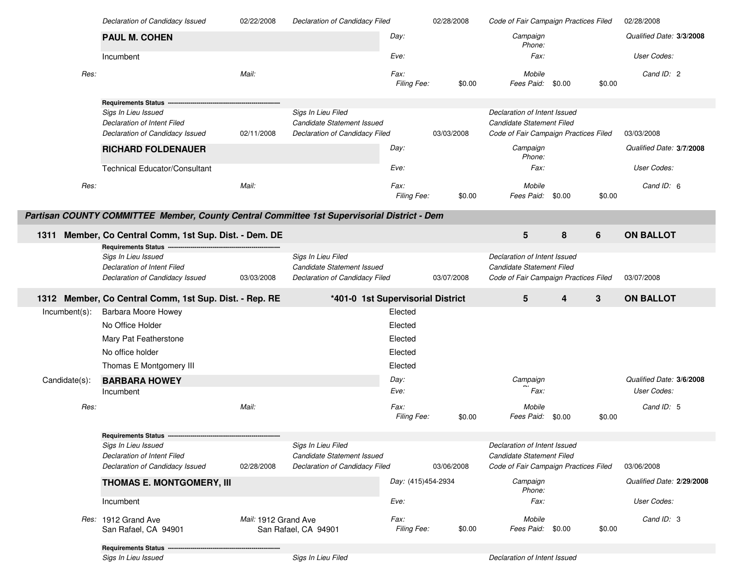|               | Declaration of Candidacy Issued                                                             | 02/22/2008           | Declaration of Candidacy Filed                   |                     | 02/28/2008 | Code of Fair Campaign Practices Filed |        |        | 02/28/2008                |
|---------------|---------------------------------------------------------------------------------------------|----------------------|--------------------------------------------------|---------------------|------------|---------------------------------------|--------|--------|---------------------------|
|               | <b>PAUL M. COHEN</b>                                                                        |                      |                                                  | Day:                |            | Campaign<br>Phone:                    |        |        | Qualified Date: 3/3/2008  |
|               | Incumbent                                                                                   |                      |                                                  | Eve:                |            | Fax:                                  |        |        | User Codes:               |
| Res:          |                                                                                             | Mail:                |                                                  | Fax:<br>Filing Fee: | \$0.00     | Mobile<br>Fees Paid:                  | \$0.00 | \$0.00 | Cand ID: 2                |
|               | Requirements Status ---                                                                     |                      |                                                  |                     |            |                                       |        |        |                           |
|               | Sigs In Lieu Issued                                                                         |                      | Sigs In Lieu Filed                               |                     |            | Declaration of Intent Issued          |        |        |                           |
|               | Declaration of Intent Filed                                                                 |                      | Candidate Statement Issued                       |                     |            | Candidate Statement Filed             |        |        |                           |
|               | Declaration of Candidacy Issued                                                             | 02/11/2008           | Declaration of Candidacy Filed                   |                     | 03/03/2008 | Code of Fair Campaign Practices Filed |        |        | 03/03/2008                |
|               | <b>RICHARD FOLDENAUER</b>                                                                   |                      |                                                  | Day:                |            | Campaign<br>Phone:                    |        |        | Qualified Date: 3/7/2008  |
|               | <b>Technical Educator/Consultant</b>                                                        |                      |                                                  | Eve:                |            | Fax:                                  |        |        | User Codes:               |
| Res:          |                                                                                             | Mail:                |                                                  | Fax:<br>Filing Fee: | \$0.00     | Mobile<br>Fees Paid:                  | \$0.00 | \$0.00 | Cand ID: 6                |
|               | Partisan COUNTY COMMITTEE Member, County Central Committee 1st Supervisorial District - Dem |                      |                                                  |                     |            |                                       |        |        |                           |
| 1311          | Member, Co Central Comm, 1st Sup. Dist. - Dem. DE                                           |                      |                                                  |                     |            | 5                                     | 8      | 6      | <b>ON BALLOT</b>          |
|               | <b>Requirements Status --</b>                                                               |                      |                                                  |                     |            | Declaration of Intent Issued          |        |        |                           |
|               | Sigs In Lieu Issued<br><b>Declaration of Intent Filed</b>                                   |                      | Sigs In Lieu Filed<br>Candidate Statement Issued |                     |            | Candidate Statement Filed             |        |        |                           |
|               | Declaration of Candidacy Issued                                                             | 03/03/2008           | Declaration of Candidacy Filed                   |                     | 03/07/2008 | Code of Fair Campaign Practices Filed |        |        | 03/07/2008                |
|               |                                                                                             |                      |                                                  |                     |            |                                       |        |        |                           |
|               |                                                                                             |                      |                                                  |                     |            |                                       |        |        |                           |
|               | 1312 Member, Co Central Comm, 1st Sup. Dist. - Rep. RE                                      |                      | *401-0 1st Supervisorial District                |                     |            | 5                                     | 4      | 3      | <b>ON BALLOT</b>          |
| Incumbent(s): | <b>Barbara Moore Howey</b>                                                                  |                      |                                                  | Elected             |            |                                       |        |        |                           |
|               | No Office Holder                                                                            |                      |                                                  | Elected             |            |                                       |        |        |                           |
|               | Mary Pat Featherstone                                                                       |                      |                                                  | Elected             |            |                                       |        |        |                           |
|               | No office holder                                                                            |                      |                                                  |                     |            |                                       |        |        |                           |
|               |                                                                                             |                      |                                                  | Elected             |            |                                       |        |        |                           |
|               | Thomas E Montgomery III                                                                     |                      |                                                  | Elected             |            |                                       |        |        |                           |
| Candidate(s): | <b>BARBARA HOWEY</b>                                                                        |                      |                                                  | Day:                |            | Campaign                              |        |        | Qualified Date: 3/6/2008  |
|               | Incumbent                                                                                   |                      |                                                  | Eve:                |            | Fax:                                  |        |        | User Codes:               |
| Res:          |                                                                                             | Mail:                |                                                  | Fax:                |            | Mobile                                |        |        | Cand ID: 5                |
|               |                                                                                             |                      |                                                  | Filing Fee:         | \$0.00     | Fees Paid:                            | \$0.00 | \$0.00 |                           |
|               | <b>Requirements Status --</b>                                                               |                      |                                                  |                     |            |                                       |        |        |                           |
|               | Sigs In Lieu Issued                                                                         |                      | Sigs In Lieu Filed                               |                     |            | Declaration of Intent Issued          |        |        |                           |
|               | Declaration of Intent Filed                                                                 |                      | Candidate Statement Issued                       |                     |            | Candidate Statement Filed             |        |        |                           |
|               | Declaration of Candidacy Issued                                                             | 02/28/2008           | Declaration of Candidacy Filed                   |                     | 03/06/2008 | Code of Fair Campaign Practices Filed |        |        | 03/06/2008                |
|               | THOMAS E. MONTGOMERY, III                                                                   |                      |                                                  | Day: (415)454-2934  |            | Campaign<br>Phone:                    |        |        | Qualified Date: 2/29/2008 |
|               | Incumbent                                                                                   |                      |                                                  | Eve:                |            | Fax:                                  |        |        | User Codes:               |
|               | Res: 1912 Grand Ave<br>San Rafael, CA 94901                                                 | Mail: 1912 Grand Ave | San Rafael, CA 94901                             | Fax:<br>Filing Fee: | \$0.00     | Mobile<br>Fees Paid: \$0.00           |        | \$0.00 | Cand ID: 3                |
|               | <b>Requirements Status</b>                                                                  |                      |                                                  |                     |            |                                       |        |        |                           |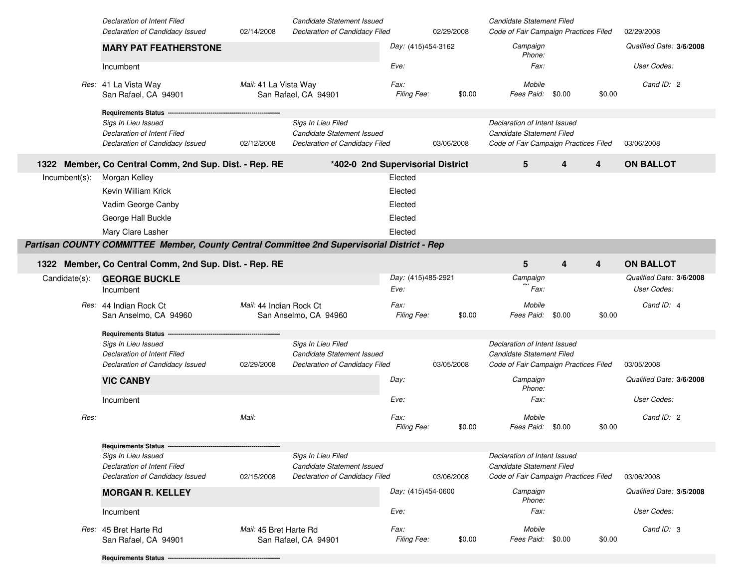|                  | Declaration of Intent Filed<br>Declaration of Candidacy Issued                              | 02/14/2008              | Candidate Statement Issued<br>Declaration of Candidacy Filed |                     | 02/29/2008 | Candidate Statement Filed<br>Code of Fair Campaign Practices Filed |        |        | 02/29/2008               |
|------------------|---------------------------------------------------------------------------------------------|-------------------------|--------------------------------------------------------------|---------------------|------------|--------------------------------------------------------------------|--------|--------|--------------------------|
|                  | <b>MARY PAT FEATHERSTONE</b>                                                                |                         |                                                              | Day: (415)454-3162  |            | Campaign                                                           |        |        | Qualified Date: 3/6/2008 |
|                  |                                                                                             |                         |                                                              |                     |            | Phone:                                                             |        |        |                          |
|                  | Incumbent                                                                                   |                         |                                                              | Eve:                |            | Fax:                                                               |        |        | User Codes:              |
|                  | Res: 41 La Vista Way<br>San Rafael, CA 94901                                                | Mail: 41 La Vista Way   | San Rafael, CA 94901                                         | Fax:<br>Filing Fee: | \$0.00     | Mobile<br>Fees Paid:                                               | \$0.00 | \$0.00 | Cand ID: 2               |
|                  | <b>Requirements Status</b>                                                                  |                         |                                                              |                     |            |                                                                    |        |        |                          |
|                  | Sigs In Lieu Issued<br>Declaration of Intent Filed                                          |                         | Sigs In Lieu Filed<br>Candidate Statement Issued             |                     |            | Declaration of Intent Issued<br>Candidate Statement Filed          |        |        |                          |
|                  | Declaration of Candidacy Issued                                                             | 02/12/2008              | Declaration of Candidacy Filed                               |                     | 03/06/2008 | Code of Fair Campaign Practices Filed                              |        |        | 03/06/2008               |
|                  | 1322 Member, Co Central Comm, 2nd Sup. Dist. - Rep. RE                                      |                         | *402-0 2nd Supervisorial District                            |                     |            | 5                                                                  | 4      | 4      | <b>ON BALLOT</b>         |
| $Incumbent(s)$ : | Morgan Kelley                                                                               |                         |                                                              | Elected             |            |                                                                    |        |        |                          |
|                  | Kevin William Krick                                                                         |                         |                                                              | Elected             |            |                                                                    |        |        |                          |
|                  | Vadim George Canby                                                                          |                         |                                                              | Elected             |            |                                                                    |        |        |                          |
|                  | George Hall Buckle                                                                          |                         |                                                              | Elected             |            |                                                                    |        |        |                          |
|                  | Mary Clare Lasher                                                                           |                         |                                                              | Elected             |            |                                                                    |        |        |                          |
|                  | Partisan COUNTY COMMITTEE Member, County Central Committee 2nd Supervisorial District - Rep |                         |                                                              |                     |            |                                                                    |        |        |                          |
|                  | 1322 Member, Co Central Comm, 2nd Sup. Dist. - Rep. RE                                      |                         |                                                              |                     |            | 5                                                                  | 4      | 4      | <b>ON BALLOT</b>         |
| Candidate(s):    | <b>GEORGE BUCKLE</b>                                                                        |                         |                                                              | Day: (415)485-2921  |            | Campaign                                                           |        |        | Qualified Date: 3/6/2008 |
|                  | Incumbent                                                                                   |                         |                                                              | Eve:                |            | Fax:                                                               |        |        | User Codes:              |
|                  | Res: 44 Indian Rock Ct                                                                      | Mail: 44 Indian Rock Ct |                                                              | Fax:                |            | Mobile                                                             |        |        | Cand ID: 4               |
|                  | San Anselmo, CA 94960                                                                       |                         | San Anselmo, CA 94960                                        | Filing Fee:         | \$0.00     | Fees Paid:                                                         | \$0.00 | \$0.00 |                          |
|                  | <b>Requirements Status</b>                                                                  |                         |                                                              |                     |            |                                                                    |        |        |                          |
|                  | Sigs In Lieu Issued                                                                         |                         | Sigs In Lieu Filed                                           |                     |            | Declaration of Intent Issued                                       |        |        |                          |
|                  | Declaration of Intent Filed<br>Declaration of Candidacy Issued                              | 02/29/2008              | Candidate Statement Issued<br>Declaration of Candidacy Filed |                     | 03/05/2008 | Candidate Statement Filed<br>Code of Fair Campaign Practices Filed |        |        | 03/05/2008               |
|                  | <b>VIC CANBY</b>                                                                            |                         |                                                              | Day:                |            | Campaign                                                           |        |        | Qualified Date: 3/6/2008 |
|                  |                                                                                             |                         |                                                              |                     |            | Phone:                                                             |        |        |                          |
|                  | Incumbent                                                                                   |                         |                                                              | Eve:                |            | Fax:                                                               |        |        | User Codes:              |
| Res:             |                                                                                             | Mail:                   |                                                              | Fax:                |            | Mobile                                                             |        |        | Cand ID: 2               |
|                  |                                                                                             |                         |                                                              | Filing Fee:         | \$0.00     | Fees Paid:                                                         | \$0.00 | \$0.00 |                          |
|                  | <b>Requirements Status</b>                                                                  |                         |                                                              |                     |            |                                                                    |        |        |                          |
|                  | Sigs In Lieu Issued                                                                         |                         | Sigs In Lieu Filed                                           |                     |            | Declaration of Intent Issued                                       |        |        |                          |
|                  | Declaration of Intent Filed<br>Declaration of Candidacy Issued                              | 02/15/2008              | Candidate Statement Issued<br>Declaration of Candidacy Filed |                     | 03/06/2008 | Candidate Statement Filed<br>Code of Fair Campaign Practices Filed |        |        | 03/06/2008               |
|                  | <b>MORGAN R. KELLEY</b>                                                                     |                         |                                                              | Day: (415)454-0600  |            | Campaign                                                           |        |        | Qualified Date: 3/5/2008 |
|                  |                                                                                             |                         |                                                              |                     |            | Phone:                                                             |        |        |                          |
|                  | Incumbent                                                                                   |                         |                                                              | Eve:                |            | Fax:                                                               |        |        | User Codes:              |
|                  | Res: 45 Bret Harte Rd                                                                       | Mail: 45 Bret Harte Rd  |                                                              | Fax:                |            | Mobile                                                             |        |        | Cand ID: 3               |
|                  | San Rafael, CA 94901                                                                        |                         | San Rafael, CA 94901                                         | Filing Fee:         | \$0.00     | Fees Paid: \$0.00                                                  |        | \$0.00 |                          |
|                  | Requirements Status --                                                                      |                         |                                                              |                     |            |                                                                    |        |        |                          |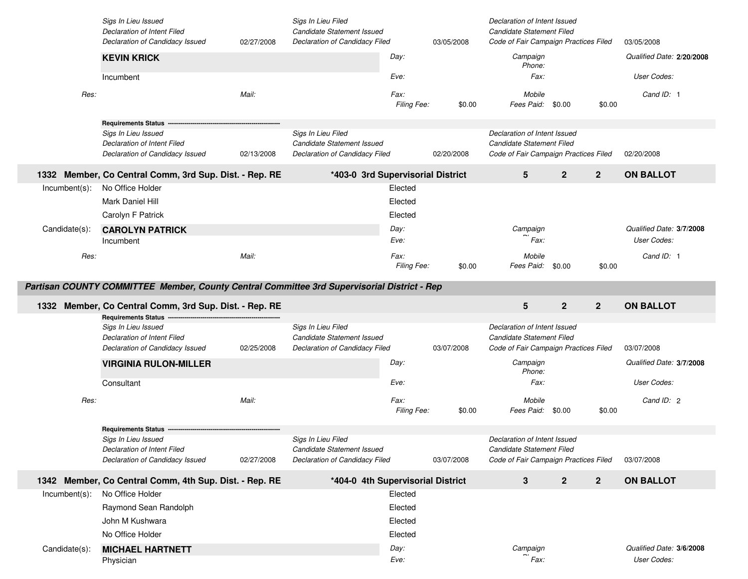|               | Sigs In Lieu Issued<br>Declaration of Intent Filed<br>Declaration of Candidacy Issued       | 02/27/2008 | Sigs In Lieu Filed<br>Candidate Statement Issued<br>Declaration of Candidacy Filed |                     | 03/05/2008 | Declaration of Intent Issued<br>Candidate Statement Filed<br>Code of Fair Campaign Practices Filed |                |                | 03/05/2008                |
|---------------|---------------------------------------------------------------------------------------------|------------|------------------------------------------------------------------------------------|---------------------|------------|----------------------------------------------------------------------------------------------------|----------------|----------------|---------------------------|
|               | <b>KEVIN KRICK</b>                                                                          |            |                                                                                    | Day:                |            | Campaign<br>Phone:                                                                                 |                |                | Qualified Date: 2/20/2008 |
|               | Incumbent                                                                                   |            |                                                                                    | Eve:                |            | Fax:                                                                                               |                |                | User Codes:               |
| Res:          |                                                                                             | Mail:      |                                                                                    | Fax:<br>Filing Fee: | \$0.00     | Mobile<br>Fees Paid:                                                                               | \$0.00         | \$0.00         | Cand ID: 1                |
|               | <b>Requirements Status</b>                                                                  |            |                                                                                    |                     |            |                                                                                                    |                |                |                           |
|               | Sigs In Lieu Issued                                                                         |            | Sigs In Lieu Filed                                                                 |                     |            | Declaration of Intent Issued                                                                       |                |                |                           |
|               | Declaration of Intent Filed<br>Declaration of Candidacy Issued                              | 02/13/2008 | Candidate Statement Issued<br>Declaration of Candidacy Filed                       |                     | 02/20/2008 | Candidate Statement Filed<br>Code of Fair Campaign Practices Filed                                 |                |                | 02/20/2008                |
|               | 1332 Member, Co Central Comm, 3rd Sup. Dist. - Rep. RE                                      |            | *403-0 3rd Supervisorial District                                                  |                     |            | 5                                                                                                  | $\overline{2}$ | $\overline{2}$ | <b>ON BALLOT</b>          |
| Incumbent(s): | No Office Holder                                                                            |            |                                                                                    | Elected             |            |                                                                                                    |                |                |                           |
|               | Mark Daniel Hill                                                                            |            |                                                                                    | Elected             |            |                                                                                                    |                |                |                           |
|               | Carolyn F Patrick                                                                           |            |                                                                                    | Elected             |            |                                                                                                    |                |                |                           |
| Candidate(s): | <b>CAROLYN PATRICK</b>                                                                      |            |                                                                                    | Day:                |            | Campaign                                                                                           |                |                | Qualified Date: 3/7/2008  |
|               | Incumbent                                                                                   |            |                                                                                    | Eve:                |            | Fax:                                                                                               |                |                | User Codes:               |
| Res:          |                                                                                             | Mail:      |                                                                                    | Fax:                |            | Mobile                                                                                             |                |                | Cand ID: 1                |
|               |                                                                                             |            |                                                                                    | Filing Fee:         | \$0.00     | Fees Paid:                                                                                         | \$0.00         | \$0.00         |                           |
|               |                                                                                             |            |                                                                                    |                     |            |                                                                                                    |                |                |                           |
|               | Partisan COUNTY COMMITTEE Member, County Central Committee 3rd Supervisorial District - Rep |            |                                                                                    |                     |            |                                                                                                    |                |                |                           |
|               |                                                                                             |            |                                                                                    |                     |            | 5                                                                                                  |                | $\mathbf{2}$   | <b>ON BALLOT</b>          |
|               | 1332 Member, Co Central Comm, 3rd Sup. Dist. - Rep. RE<br>Requirements Status -------       |            |                                                                                    |                     |            |                                                                                                    | $\mathbf{2}$   |                |                           |
|               | Sigs In Lieu Issued                                                                         |            | Sigs In Lieu Filed                                                                 |                     |            | Declaration of Intent Issued                                                                       |                |                |                           |
|               | Declaration of Intent Filed<br>Declaration of Candidacy Issued                              | 02/25/2008 | Candidate Statement Issued<br>Declaration of Candidacy Filed                       |                     | 03/07/2008 | Candidate Statement Filed<br>Code of Fair Campaign Practices Filed                                 |                |                | 03/07/2008                |
|               | <b>VIRGINIA RULON-MILLER</b>                                                                |            |                                                                                    | Day:                |            | Campaign                                                                                           |                |                | Qualified Date: 3/7/2008  |
|               | Consultant                                                                                  |            |                                                                                    | Eve:                |            | Phone:<br>Fax:                                                                                     |                |                | User Codes:               |
| Res:          |                                                                                             | Mail:      |                                                                                    | Fax:                |            | Mobile                                                                                             |                |                | Cand ID: 2                |
|               |                                                                                             |            |                                                                                    | Filing Fee:         | \$0.00     | Fees Paid:                                                                                         | \$0.00         | \$0.00         |                           |
|               | <b>Requirements Status --</b>                                                               |            |                                                                                    |                     |            |                                                                                                    |                |                |                           |
|               | Sigs In Lieu Issued                                                                         |            | Sigs In Lieu Filed                                                                 |                     |            | Declaration of Intent Issued                                                                       |                |                |                           |
|               | Declaration of Intent Filed                                                                 |            | Candidate Statement Issued                                                         |                     |            | Candidate Statement Filed                                                                          |                |                |                           |
|               | Declaration of Candidacy Issued                                                             | 02/27/2008 | Declaration of Candidacy Filed                                                     |                     | 03/07/2008 | Code of Fair Campaign Practices Filed                                                              |                |                | 03/07/2008                |
|               | 1342 Member, Co Central Comm, 4th Sup. Dist. - Rep. RE                                      |            | *404-0 4th Supervisorial District                                                  |                     |            | 3                                                                                                  | $\overline{2}$ | $\mathbf{2}$   | <b>ON BALLOT</b>          |
| Incumbent(s): | No Office Holder                                                                            |            |                                                                                    | Elected             |            |                                                                                                    |                |                |                           |
|               | Raymond Sean Randolph                                                                       |            |                                                                                    | Elected             |            |                                                                                                    |                |                |                           |
|               | John M Kushwara                                                                             |            |                                                                                    | Elected             |            |                                                                                                    |                |                |                           |
|               | No Office Holder                                                                            |            |                                                                                    | Elected             |            |                                                                                                    |                |                |                           |
| Candidate(s): | <b>MICHAEL HARTNETT</b>                                                                     |            |                                                                                    | Day:                |            | Campaign<br>Fax:                                                                                   |                |                | Qualified Date: 3/6/2008  |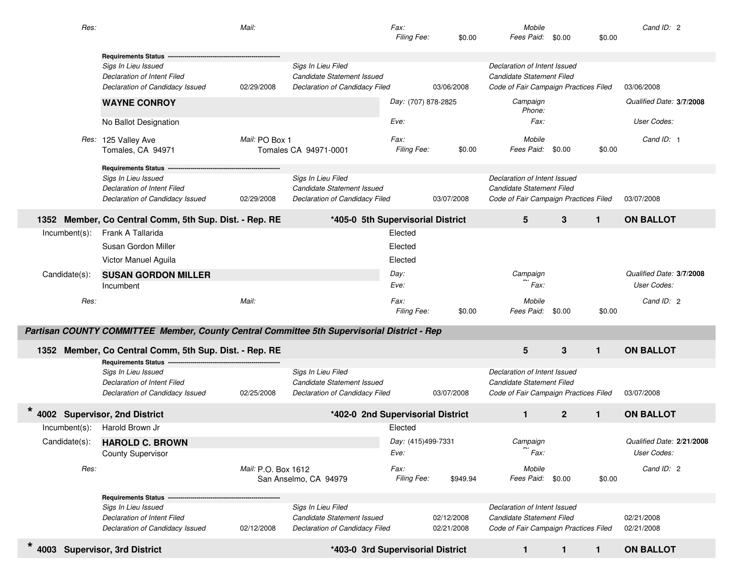| Res:                               |                                                                                             | Mail:               |                                                              | Fax:<br>Filing Fee:        | \$0.00                   | Mobile<br>Fees Paid:                                               | \$0.00       | \$0.00       | Cand ID: 2                |
|------------------------------------|---------------------------------------------------------------------------------------------|---------------------|--------------------------------------------------------------|----------------------------|--------------------------|--------------------------------------------------------------------|--------------|--------------|---------------------------|
|                                    | <b>Requirements Status</b>                                                                  |                     |                                                              |                            |                          |                                                                    |              |              |                           |
|                                    | Sigs In Lieu Issued                                                                         |                     | Sigs In Lieu Filed                                           |                            |                          | Declaration of Intent Issued                                       |              |              |                           |
|                                    | Declaration of Intent Filed                                                                 |                     | Candidate Statement Issued                                   |                            |                          | Candidate Statement Filed                                          |              |              |                           |
|                                    | Declaration of Candidacy Issued                                                             | 02/29/2008          | Declaration of Candidacy Filed                               |                            | 03/06/2008               | Code of Fair Campaign Practices Filed                              |              |              | 03/06/2008                |
|                                    | <b>WAYNE CONROY</b>                                                                         |                     |                                                              | Day: (707) 878-2825        |                          | Campaign<br>Phone:                                                 |              |              | Qualified Date: 3/7/2008  |
|                                    | No Ballot Designation                                                                       |                     |                                                              | Eve:                       |                          | Fax:                                                               |              |              | User Codes:               |
|                                    | Res: 125 Valley Ave<br>Tomales, CA 94971                                                    | Mail: PO Box 1      | Tomales CA 94971-0001                                        | Fax:<br>Filing Fee:        | \$0.00                   | Mobile<br>Fees Paid:                                               | \$0.00       | \$0.00       | Cand ID: 1                |
|                                    | <b>Requirements Status</b>                                                                  |                     |                                                              |                            |                          |                                                                    |              |              |                           |
|                                    | Sigs In Lieu Issued                                                                         |                     | Sigs In Lieu Filed                                           |                            |                          | Declaration of Intent Issued                                       |              |              |                           |
|                                    | Declaration of Intent Filed                                                                 |                     | Candidate Statement Issued<br>Declaration of Candidacy Filed |                            |                          | Candidate Statement Filed<br>Code of Fair Campaign Practices Filed |              |              |                           |
|                                    | Declaration of Candidacy Issued                                                             | 02/29/2008          |                                                              |                            | 03/07/2008               |                                                                    |              |              | 03/07/2008                |
| 1352                               | Member, Co Central Comm, 5th Sup. Dist. - Rep. RE                                           |                     | *405-0 5th Supervisorial District                            |                            |                          | $5\phantom{.0}$                                                    | 3            | $\mathbf{1}$ | <b>ON BALLOT</b>          |
| $Incumbent(s)$ :                   | Frank A Tallarida                                                                           |                     |                                                              | Elected                    |                          |                                                                    |              |              |                           |
|                                    | Susan Gordon Miller                                                                         |                     |                                                              | Elected                    |                          |                                                                    |              |              |                           |
|                                    | Victor Manuel Aguila                                                                        |                     |                                                              | Elected                    |                          |                                                                    |              |              |                           |
| Candidate(s):                      | <b>SUSAN GORDON MILLER</b>                                                                  |                     |                                                              | Day:                       |                          | Campaign                                                           |              |              | Qualified Date: 3/7/2008  |
|                                    | Incumbent                                                                                   |                     |                                                              | Eve:                       |                          | Fax:                                                               |              |              | User Codes:               |
| Res:                               |                                                                                             | Mail:               |                                                              | <i>Fax:</i><br>Filing Fee: | \$0.00                   | Mobile<br>Fees Paid: \$0.00                                        |              | \$0.00       | Cand ID: 2                |
|                                    | Partisan COUNTY COMMITTEE Member, County Central Committee 5th Supervisorial District - Rep |                     |                                                              |                            |                          |                                                                    |              |              |                           |
| 1352                               |                                                                                             |                     |                                                              |                            |                          | $5\phantom{.0}$                                                    | 3            | $\mathbf{1}$ | <b>ON BALLOT</b>          |
|                                    | Member, Co Central Comm, 5th Sup. Dist. - Rep. RE<br><b>Requirements Status</b>             |                     |                                                              |                            |                          |                                                                    |              |              |                           |
|                                    | Sigs In Lieu Issued                                                                         |                     | Sigs In Lieu Filed                                           |                            |                          | Declaration of Intent Issued                                       |              |              |                           |
|                                    | Declaration of Intent Filed                                                                 |                     | Candidate Statement Issued                                   |                            |                          | Candidate Statement Filed                                          |              |              |                           |
|                                    | Declaration of Candidacy Issued                                                             | 02/25/2008          | Declaration of Candidacy Filed                               |                            | 03/07/2008               | Code of Fair Campaign Practices Filed                              |              |              | 03/07/2008                |
|                                    | 4002 Supervisor, 2nd District                                                               |                     | *402-0 2nd Supervisorial District                            |                            |                          | $\mathbf{1}$                                                       | $\mathbf{2}$ | $\mathbf{1}$ | <b>ON BALLOT</b>          |
| $Incumbent(s)$ :                   | Harold Brown Jr                                                                             |                     |                                                              | Elected                    |                          |                                                                    |              |              |                           |
| Candidate(s):                      | <b>HAROLD C. BROWN</b>                                                                      |                     |                                                              | Day: (415)499-7331         |                          | Campaign                                                           |              |              | Qualified Date: 2/21/2008 |
|                                    | <b>County Supervisor</b>                                                                    |                     |                                                              | Eve:                       |                          | Fax:                                                               |              |              | User Codes:               |
| Res:                               |                                                                                             | Mail: P.O. Box 1612 | San Anselmo, CA 94979                                        | <i>Fax:</i><br>Filing Fee: | \$949.94                 | Mobile<br>Fees Paid: \$0.00                                        |              | \$0.00       | Cand ID: 2                |
|                                    | <b>Requirements Status</b>                                                                  |                     |                                                              |                            |                          |                                                                    |              |              |                           |
|                                    | Sigs In Lieu Issued                                                                         |                     | Sigs In Lieu Filed                                           |                            |                          | Declaration of Intent Issued                                       |              |              |                           |
|                                    | Declaration of Intent Filed<br>Declaration of Candidacy Issued                              | 02/12/2008          | Candidate Statement Issued<br>Declaration of Candidacy Filed |                            | 02/12/2008<br>02/21/2008 | Candidate Statement Filed<br>Code of Fair Campaign Practices Filed |              |              | 02/21/2008<br>02/21/2008  |
| *<br>4003 Supervisor, 3rd District |                                                                                             |                     | *403-0 3rd Supervisorial District                            |                            |                          | $\mathbf{1}$                                                       | $\mathbf{1}$ | $\mathbf{1}$ | <b>ON BALLOT</b>          |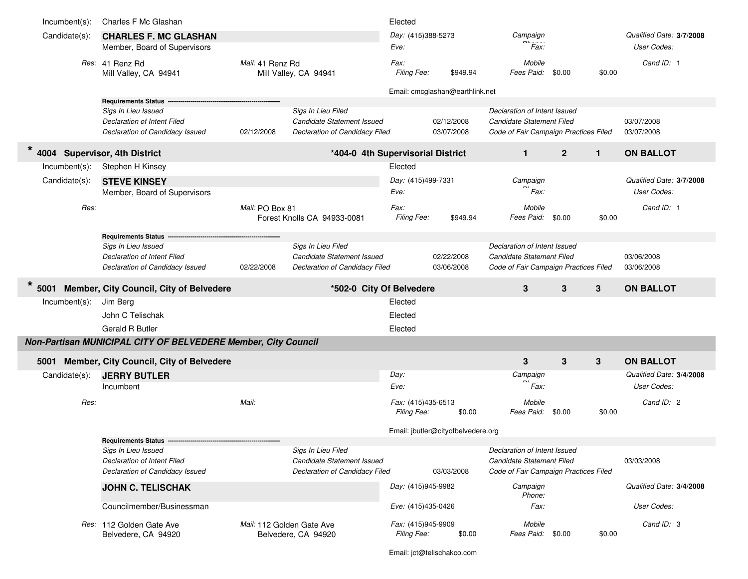| $Incumbent(s)$ : | Charles F Mc Glashan                                                                    |                  |                                                                                    | Elected                                  |                                    |                                                                                                    |                |        |                          |
|------------------|-----------------------------------------------------------------------------------------|------------------|------------------------------------------------------------------------------------|------------------------------------------|------------------------------------|----------------------------------------------------------------------------------------------------|----------------|--------|--------------------------|
| Candidate(s):    | <b>CHARLES F. MC GLASHAN</b>                                                            |                  |                                                                                    | Day: (415)388-5273                       |                                    | Campaign                                                                                           |                |        | Qualified Date: 3/7/2008 |
|                  | Member, Board of Supervisors                                                            |                  |                                                                                    | Eve:                                     |                                    | Fax:                                                                                               |                |        | User Codes:              |
|                  | Res: 41 Renz Rd<br>Mill Valley, CA 94941                                                | Mail: 41 Renz Rd | Mill Valley, CA 94941                                                              | <i>Fax:</i><br>Filing Fee:               | \$949.94                           | Mobile<br>Fees Paid: \$0.00                                                                        |                | \$0.00 | Cand ID: 1               |
|                  |                                                                                         |                  |                                                                                    |                                          | Email: cmcglashan@earthlink.net    |                                                                                                    |                |        |                          |
|                  | Requirements Status ---                                                                 |                  |                                                                                    |                                          |                                    |                                                                                                    |                |        |                          |
|                  | Sigs In Lieu Issued<br>Declaration of Intent Filed<br>Declaration of Candidacy Issued   | 02/12/2008       | Sigs In Lieu Filed<br>Candidate Statement Issued<br>Declaration of Candidacy Filed |                                          | 02/12/2008<br>03/07/2008           | Declaration of Intent Issued<br>Candidate Statement Filed<br>Code of Fair Campaign Practices Filed |                |        | 03/07/2008<br>03/07/2008 |
| $\star$<br>4004  | <b>Supervisor, 4th District</b>                                                         |                  | *404-0 4th Supervisorial District                                                  |                                          |                                    | $\mathbf 1$                                                                                        | $\overline{2}$ | 1      | <b>ON BALLOT</b>         |
| $Incumbent(s)$ : | Stephen H Kinsey                                                                        |                  |                                                                                    | Elected                                  |                                    |                                                                                                    |                |        |                          |
| Candidate(s):    | <b>STEVE KINSEY</b>                                                                     |                  |                                                                                    | Day: (415)499-7331                       |                                    | Campaign                                                                                           |                |        | Qualified Date: 3/7/2008 |
|                  | Member, Board of Supervisors                                                            |                  |                                                                                    | Eve:                                     |                                    | Fax:                                                                                               |                |        | User Codes:              |
| Res:             |                                                                                         | Mail: PO Box 81  | Forest Knolls CA 94933-0081                                                        | <i>Fax:</i><br>Filing Fee:               | \$949.94                           | Mobile<br>Fees Paid:                                                                               | \$0.00         | \$0.00 | Cand ID: 1               |
|                  | <b>Requirements Status</b>                                                              |                  |                                                                                    |                                          |                                    |                                                                                                    |                |        |                          |
|                  | Sigs In Lieu Issued<br>Declaration of Intent Filed<br>Declaration of Candidacy Issued   | 02/22/2008       | Sigs In Lieu Filed<br>Candidate Statement Issued<br>Declaration of Candidacy Filed |                                          | 02/22/2008<br>03/06/2008           | Declaration of Intent Issued<br>Candidate Statement Filed<br>Code of Fair Campaign Practices Filed |                |        | 03/06/2008<br>03/06/2008 |
|                  |                                                                                         |                  |                                                                                    |                                          |                                    |                                                                                                    |                |        |                          |
| $\star$<br>5001  |                                                                                         |                  |                                                                                    |                                          |                                    | 3                                                                                                  |                |        |                          |
|                  | Member, City Council, City of Belvedere                                                 |                  | *502-0 City Of Belvedere                                                           | Elected                                  |                                    |                                                                                                    | 3              | 3      | <b>ON BALLOT</b>         |
| $Incumbent(s)$ : | Jim Berg                                                                                |                  |                                                                                    |                                          |                                    |                                                                                                    |                |        |                          |
|                  | John C Telischak                                                                        |                  |                                                                                    | Elected                                  |                                    |                                                                                                    |                |        |                          |
|                  | <b>Gerald R Butler</b><br>Non-Partisan MUNICIPAL CITY OF BELVEDERE Member, City Council |                  |                                                                                    | Elected                                  |                                    |                                                                                                    |                |        |                          |
| 5001             |                                                                                         |                  |                                                                                    |                                          |                                    | 3                                                                                                  |                |        | <b>ON BALLOT</b>         |
|                  | Member, City Council, City of Belvedere                                                 |                  |                                                                                    |                                          |                                    |                                                                                                    | $\mathbf{3}$   | 3      | Qualified Date: 3/4/2008 |
| Candidate(s):    | <b>JERRY BUTLER</b><br>Incumbent                                                        |                  |                                                                                    | Day:<br>Eve:                             |                                    | Campaign<br>Fax:                                                                                   |                |        | User Codes:              |
| Res:             |                                                                                         | Mail:            |                                                                                    | Fax: (415)435-6513<br><b>Filing Fee:</b> | \$0.00                             | Mobile<br>Fees Paid:                                                                               | \$0.00         | \$0.00 | Cand ID: 2               |
|                  |                                                                                         |                  |                                                                                    |                                          | Email: jbutler@cityofbelvedere.org |                                                                                                    |                |        |                          |
|                  | <b>Requirements Status</b>                                                              |                  |                                                                                    |                                          |                                    |                                                                                                    |                |        |                          |
|                  | Sigs In Lieu Issued<br>Declaration of Intent Filed<br>Declaration of Candidacy Issued   |                  | Sigs In Lieu Filed<br>Candidate Statement Issued<br>Declaration of Candidacy Filed |                                          | 03/03/2008                         | Declaration of Intent Issued<br>Candidate Statement Filed<br>Code of Fair Campaign Practices Filed |                |        | 03/03/2008               |
|                  | <b>JOHN C. TELISCHAK</b>                                                                |                  |                                                                                    | Day: (415)945-9982                       |                                    | Campaign<br>Phone:                                                                                 |                |        | Qualified Date: 3/4/2008 |
|                  | Councilmember/Businessman                                                               |                  |                                                                                    | Eve: (415)435-0426                       |                                    | Fax:                                                                                               |                |        | User Codes:              |

Email: jct@telischakco.com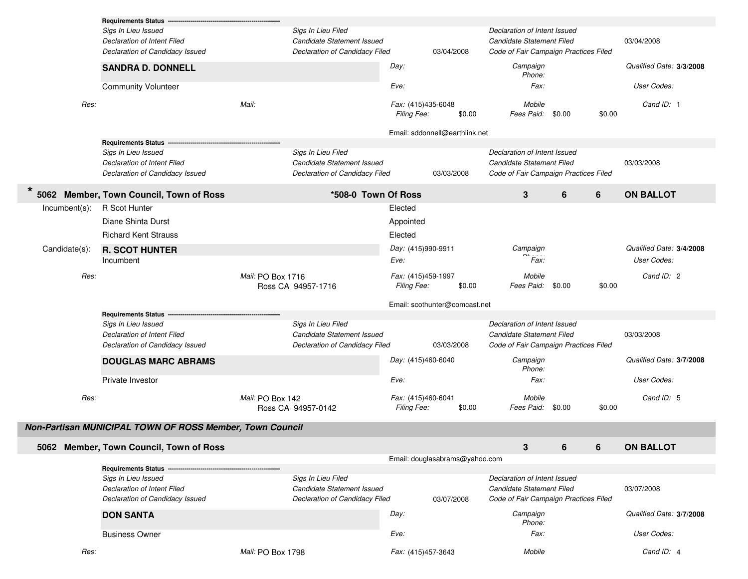|                  | <b>Requirements Status</b>                                     |                   |                                                              |                                   |                                |                                                                    |   |        |                          |  |
|------------------|----------------------------------------------------------------|-------------------|--------------------------------------------------------------|-----------------------------------|--------------------------------|--------------------------------------------------------------------|---|--------|--------------------------|--|
|                  | Sigs In Lieu Issued<br>Declaration of Intent Filed             |                   | Sigs In Lieu Filed<br>Candidate Statement Issued             |                                   |                                | Declaration of Intent Issued<br>Candidate Statement Filed          |   |        | 03/04/2008               |  |
|                  | Declaration of Candidacy Issued                                |                   | Declaration of Candidacy Filed                               |                                   | 03/04/2008                     | Code of Fair Campaign Practices Filed                              |   |        |                          |  |
|                  | <b>SANDRA D. DONNELL</b>                                       |                   |                                                              | Day:                              |                                | Campaign<br>Phone:                                                 |   |        | Qualified Date: 3/3/2008 |  |
|                  | <b>Community Volunteer</b>                                     |                   |                                                              | Eve:                              |                                | Fax:                                                               |   |        | User Codes:              |  |
| Res:             |                                                                | Mail:             |                                                              | Fax: (415)435-6048<br>Filing Fee: | \$0.00                         | Mobile<br>Fees Paid: \$0.00                                        |   | \$0.00 | Cand ID: 1               |  |
|                  |                                                                |                   |                                                              |                                   | Email: sddonnell@earthlink.net |                                                                    |   |        |                          |  |
|                  | <b>Requirements Status</b>                                     |                   |                                                              |                                   |                                |                                                                    |   |        |                          |  |
|                  | Sigs In Lieu Issued                                            |                   | Sigs In Lieu Filed                                           |                                   |                                | Declaration of Intent Issued                                       |   |        |                          |  |
|                  | Declaration of Intent Filed<br>Declaration of Candidacy Issued |                   | Candidate Statement Issued<br>Declaration of Candidacy Filed |                                   | 03/03/2008                     | Candidate Statement Filed<br>Code of Fair Campaign Practices Filed |   |        | 03/03/2008               |  |
| *                | 5062 Member, Town Council, Town of Ross                        |                   | *508-0 Town Of Ross                                          |                                   |                                | 3                                                                  | 6 | 6      | <b>ON BALLOT</b>         |  |
| $Incumbent(s)$ : | R Scot Hunter                                                  |                   |                                                              | Elected                           |                                |                                                                    |   |        |                          |  |
|                  | Diane Shinta Durst                                             |                   |                                                              | Appointed                         |                                |                                                                    |   |        |                          |  |
|                  | <b>Richard Kent Strauss</b>                                    |                   |                                                              | Elected                           |                                |                                                                    |   |        |                          |  |
| Candidate(s):    | <b>R. SCOT HUNTER</b>                                          |                   |                                                              | Day: (415)990-9911                |                                | Campaign                                                           |   |        | Qualified Date: 3/4/2008 |  |
|                  | Incumbent                                                      |                   |                                                              | Eve:                              |                                | Fax:                                                               |   |        | User Codes:              |  |
| Res:             |                                                                | Mail: PO Box 1716 | Ross CA 94957-1716                                           | Fax: (415)459-1997<br>Filing Fee: | \$0.00                         | Mobile<br>Fees Paid: \$0.00                                        |   | \$0.00 | Cand ID: 2               |  |
|                  |                                                                |                   |                                                              |                                   |                                |                                                                    |   |        |                          |  |
|                  |                                                                |                   |                                                              |                                   | Email: scothunter@comcast.net  |                                                                    |   |        |                          |  |
|                  | <b>Requirements Status</b>                                     |                   |                                                              |                                   |                                |                                                                    |   |        |                          |  |
|                  | Sigs In Lieu Issued                                            |                   | Sigs In Lieu Filed                                           |                                   |                                | Declaration of Intent Issued                                       |   |        |                          |  |
|                  | Declaration of Intent Filed<br>Declaration of Candidacy Issued |                   | Candidate Statement Issued<br>Declaration of Candidacy Filed |                                   | 03/03/2008                     | Candidate Statement Filed<br>Code of Fair Campaign Practices Filed |   |        | 03/03/2008               |  |
|                  | <b>DOUGLAS MARC ABRAMS</b>                                     |                   |                                                              | Day: (415)460-6040                |                                | Campaign<br>Phone:                                                 |   |        | Qualified Date: 3/7/2008 |  |
|                  | Private Investor                                               |                   |                                                              | Eve:                              |                                | Fax:                                                               |   |        | User Codes:              |  |
| Res:             |                                                                | Mail: PO Box 142  |                                                              | Fax: (415)460-6041                |                                | Mobile                                                             |   |        | Cand ID: 5               |  |
|                  |                                                                |                   | Ross CA 94957-0142                                           | Filing Fee:                       | \$0.00                         | Fees Paid: \$0.00                                                  |   | \$0.00 |                          |  |
|                  | Non-Partisan MUNICIPAL TOWN OF ROSS Member, Town Council       |                   |                                                              |                                   |                                |                                                                    |   |        |                          |  |
|                  | 5062 Member, Town Council, Town of Ross                        |                   |                                                              |                                   |                                | 3                                                                  | 6 | 6      | <b>ON BALLOT</b>         |  |
|                  |                                                                |                   |                                                              |                                   | Email: douglasabrams@yahoo.com |                                                                    |   |        |                          |  |
|                  | <b>Requirements Status</b>                                     |                   |                                                              |                                   |                                |                                                                    |   |        |                          |  |
|                  | Sigs In Lieu Issued                                            |                   | Sigs In Lieu Filed                                           |                                   |                                | Declaration of Intent Issued                                       |   |        |                          |  |
|                  | Declaration of Intent Filed<br>Declaration of Candidacy Issued |                   | Candidate Statement Issued<br>Declaration of Candidacy Filed |                                   | 03/07/2008                     | Candidate Statement Filed<br>Code of Fair Campaign Practices Filed |   |        | 03/07/2008               |  |
|                  | <b>DON SANTA</b>                                               |                   |                                                              | Day:                              |                                | Campaign<br>Phone:                                                 |   |        | Qualified Date: 3/7/2008 |  |
|                  | <b>Business Owner</b>                                          |                   |                                                              | Eve:                              |                                | Fax:                                                               |   |        | User Codes:              |  |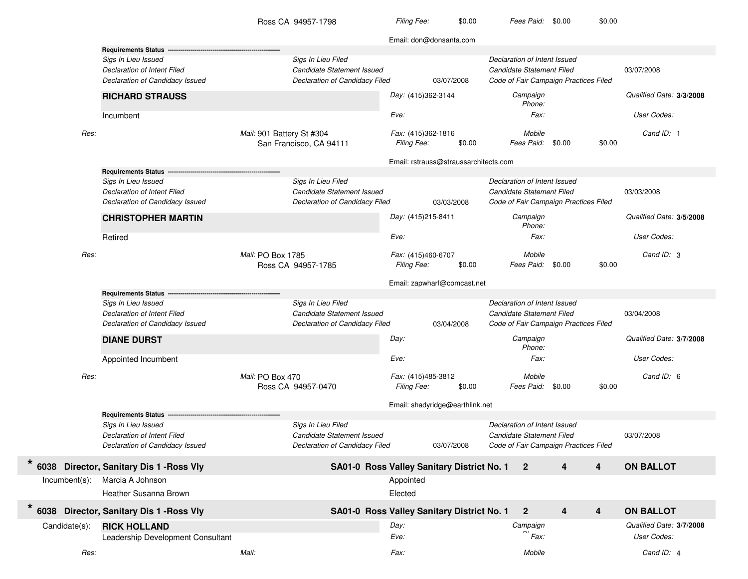Ross CA

**\***

**\***

03/07/2008*Day:* **STRAUSS** (415)362-3144 *Campaign Eve:Cand ID:* 1\$0.00 03/03/2008*Day:* **MARTIN** (415)215-8411 *Campaign Eve: Cand ID:* 3\$0.00 03/04/2008*Day: Eve:Cand ID:* 6\$0.00 03/07/2008*Eve:Cand ID:* 4Email: don@donsanta.com **Requirements Status** *Sigs In Lieu Issued Sigs In Lieu Filed Declaration of Intent Issued Declaration of Intent Filed Candidate Statement Issued Candidate Statement Filed* 03/07/2008*Declaration of Candidacy Issued Declaration of Candidacy Filed Code of Fair Campaign Practices Filed* **3/3/2008***Qualified Date:* Incumbent *Fax: User Codes:* **RICHARD***Phone:Res: Mail:* 901 Battery St #304 *Fax:* (415)362-1816 *Mobile* San Francisco, CA 94111 *Filing Fee: Fees Paid:* \$0.00 \$0.00 Email: rstrauss@straussarchitects.com **Requirements Status** *Sigs In Lieu Issued Sigs In Lieu Filed Declaration of Intent Issued Declaration of Intent Filed Candidate Statement Issued Candidate Statement Filed* 03/03/2008*Declaration of Candidacy Issued Declaration of Candidacy Filed Code of Fair Campaign Practices Filed* **3/5/2008** *Qualified Date:* Retired *Fax: User Codes:* **CHRISTOPHER***Phone:Res:Mail:* PO Box 1785 Box 1785 *Fax:* (415)460-6707 *Mobile* Ross CA 94957-1785 *Filing Fee: Fees Paid:* \$0.00 \$0.00 Email: zapwharf@comcast.net **Requirements Status** *Sigs In Lieu Issued Sigs In Lieu Filed Declaration of Intent Issued Declaration of Intent Filed Candidate Statement Issued Candidate Statement Filed* 03/04/2008*Declaration of Candidacy Issued Declaration of Candidacy Filed Code of Fair Campaign Practices Filed* **3/7/2008***Qualified Date:* Appointed Incumbent *Fax: User Codes:* **DIANE DURST** *Campaign Phone:Res: Mail:* PO Box 470 *Fax:* (415)485-3812 *Mobile* Ross CA 94957-0470 *Filing Fee: Fees Paid:* \$0.00 \$0.00 Email: shadyridge@earthlink.net **Requirements Status** *Sigs In Lieu Issued Sigs In Lieu Filed Declaration of Intent Issued Declaration of Intent Filed Candidate Statement Issued Candidate Statement Filed* 03/07/2008*Declaration of Candidacy Issued Declaration of Candidacy Filed Code of Fair Campaign Practices Filed* **6038 Director, Sanitary Dis 1 - Ross Vly Director, Sanitary Dis 1 -Ross Vly SA01-0 Ross Valley Sanitary District No. 1 2 4 4 ON BALLOT** Incumbent(s): Marcia A Johnson Appointed Appointed Appointed Appointed Appointed Appointed Appointed Appointed Heather Susanna Brown Elected **6038 Director, Sanitary Dis 1 - Ross Vly Director, Sanitary Dis 1 -Ross Vly SA01-0 Ross Valley Sanitary District No. 1 2 4 4 ON BALLOT** Candidate(s): **HOLLAND** *Day: Campaign Phone: Qualified Date:* **3/7/2008**Leadership Development Consultant *Fax: User Codes: Res:Mail: Fax: Mobile*